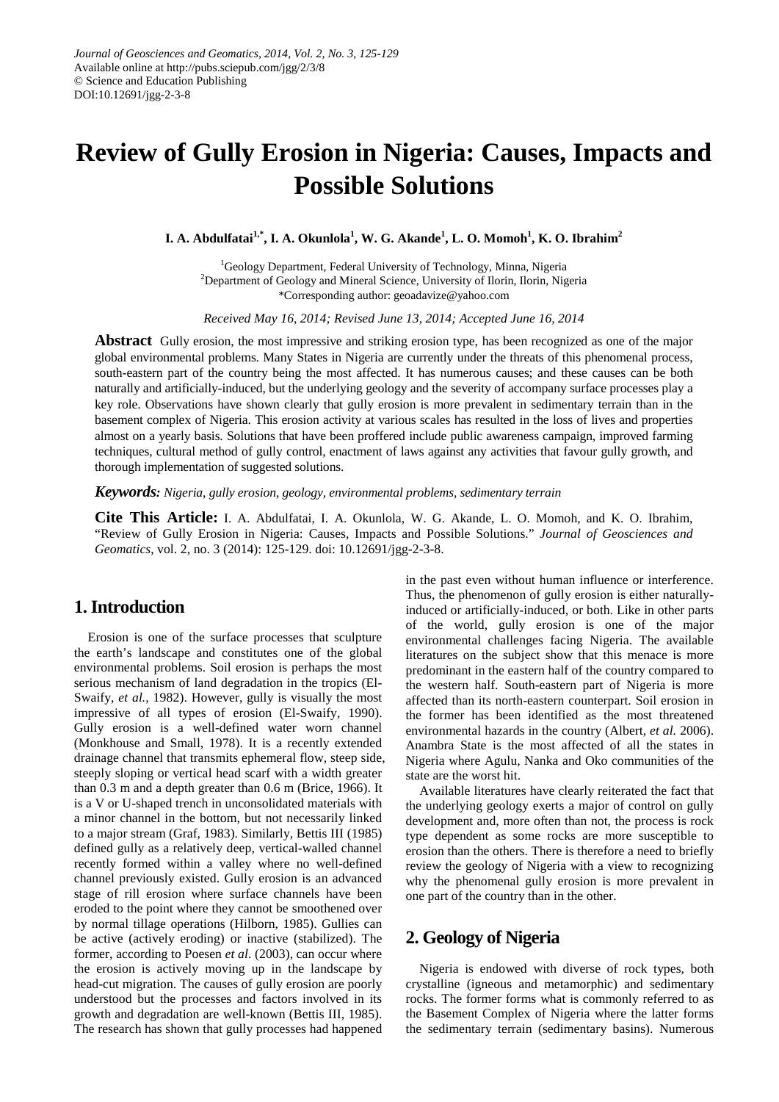# **Review of Gully Erosion in Nigeria: Causes, Impacts and Possible Solutions**

**I. A. Abdulfatai1,\* , I. A. Okunlola<sup>1</sup> , W. G. Akande<sup>1</sup> , L. O. Momoh1 , K. O. Ibrahim2**

<sup>1</sup>Geology Department, Federal University of Technology, Minna, Nigeria <sup>2</sup>Department of Geology and Mineral Science, University of Ilorin, Ilorin, Nigeria \*Corresponding author: geoadavize@yahoo.com

*Received May 16, 2014; Revised June 13, 2014; Accepted June 16, 2014*

**Abstract** Gully erosion, the most impressive and striking erosion type, has been recognized as one of the major global environmental problems. Many States in Nigeria are currently under the threats of this phenomenal process, south-eastern part of the country being the most affected. It has numerous causes; and these causes can be both naturally and artificially-induced, but the underlying geology and the severity of accompany surface processes play a key role. Observations have shown clearly that gully erosion is more prevalent in sedimentary terrain than in the basement complex of Nigeria. This erosion activity at various scales has resulted in the loss of lives and properties almost on a yearly basis. Solutions that have been proffered include public awareness campaign, improved farming techniques, cultural method of gully control, enactment of laws against any activities that favour gully growth, and thorough implementation of suggested solutions.

*Keywords: Nigeria, gully erosion, geology, environmental problems, sedimentary terrain*

**Cite This Article:** I. A. Abdulfatai, I. A. Okunlola, W. G. Akande, L. O. Momoh, and K. O. Ibrahim, "Review of Gully Erosion in Nigeria: Causes, Impacts and Possible Solutions." *Journal of Geosciences and Geomatics*, vol. 2, no. 3 (2014): 125-129. doi: 10.12691/jgg-2-3-8.

## **1. Introduction**

Erosion is one of the surface processes that sculpture the earth's landscape and constitutes one of the global environmental problems. Soil erosion is perhaps the most serious mechanism of land degradation in the tropics (El-Swaify, *et al.,* 1982). However, gully is visually the most impressive of all types of erosion (El-Swaify, 1990). Gully erosion is a well-defined water worn channel (Monkhouse and Small, 1978). It is a recently extended drainage channel that transmits ephemeral flow, steep side, steeply sloping or vertical head scarf with a width greater than 0.3 m and a depth greater than 0.6 m (Brice, 1966). It is a V or U-shaped trench in unconsolidated materials with a minor channel in the bottom, but not necessarily linked to a major stream (Graf, 1983). Similarly, Bettis III (1985) defined gully as a relatively deep, vertical-walled channel recently formed within a valley where no well-defined channel previously existed. Gully erosion is an advanced stage of rill erosion where surface channels have been eroded to the point where they cannot be smoothened over by normal tillage operations (Hilborn, 1985). Gullies can be active (actively eroding) or inactive (stabilized). The former, according to Poesen *et al*. (2003), can occur where the erosion is actively moving up in the landscape by head-cut migration. The causes of gully erosion are poorly understood but the processes and factors involved in its growth and degradation are well-known (Bettis III, 1985). The research has shown that gully processes had happened

in the past even without human influence or interference. Thus, the phenomenon of gully erosion is either naturallyinduced or artificially-induced, or both. Like in other parts of the world, gully erosion is one of the major environmental challenges facing Nigeria. The available literatures on the subject show that this menace is more predominant in the eastern half of the country compared to the western half. South-eastern part of Nigeria is more affected than its north-eastern counterpart. Soil erosion in the former has been identified as the most threatened environmental hazards in the country (Albert, *et al.* 2006). Anambra State is the most affected of all the states in Nigeria where Agulu, Nanka and Oko communities of the state are the worst hit.

Available literatures have clearly reiterated the fact that the underlying geology exerts a major of control on gully development and, more often than not, the process is rock type dependent as some rocks are more susceptible to erosion than the others. There is therefore a need to briefly review the geology of Nigeria with a view to recognizing why the phenomenal gully erosion is more prevalent in one part of the country than in the other.

## **2. Geology of Nigeria**

Nigeria is endowed with diverse of rock types, both crystalline (igneous and metamorphic) and sedimentary rocks. The former forms what is commonly referred to as the Basement Complex of Nigeria where the latter forms the sedimentary terrain (sedimentary basins). Numerous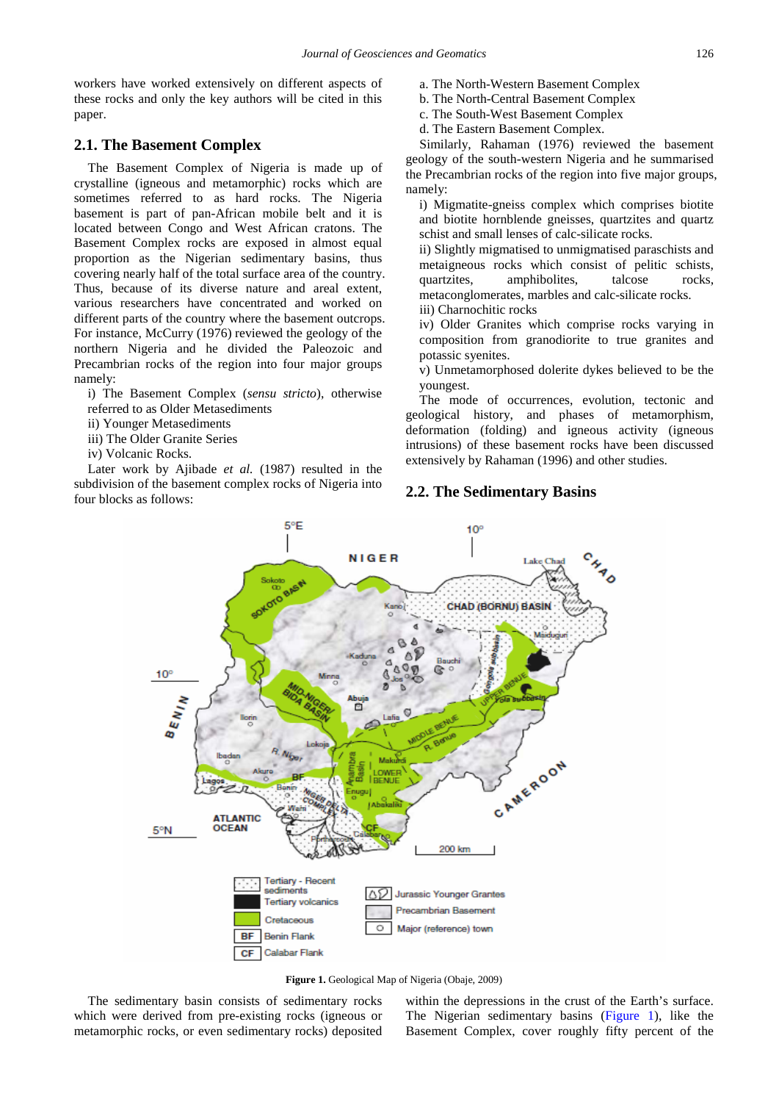workers have worked extensively on different aspects of these rocks and only the key authors will be cited in this paper.

#### **2.1. The Basement Complex**

The Basement Complex of Nigeria is made up of crystalline (igneous and metamorphic) rocks which are sometimes referred to as hard rocks. The Nigeria basement is part of pan-African mobile belt and it is located between Congo and West African cratons. The Basement Complex rocks are exposed in almost equal proportion as the Nigerian sedimentary basins, thus covering nearly half of the total surface area of the country. Thus, because of its diverse nature and areal extent, various researchers have concentrated and worked on different parts of the country where the basement outcrops. For instance, McCurry (1976) reviewed the geology of the northern Nigeria and he divided the Paleozoic and Precambrian rocks of the region into four major groups namely:

i) The Basement Complex (*sensu stricto*), otherwise referred to as Older Metasediments

- ii) Younger Metasediments
- iii) The Older Granite Series
- iv) Volcanic Rocks.

<span id="page-1-0"></span>Later work by Ajibade *et al.* (1987) resulted in the subdivision of the basement complex rocks of Nigeria into four blocks as follows:

- a. The North-Western Basement Complex
- b. The North-Central Basement Complex
- c. The South-West Basement Complex
- d. The Eastern Basement Complex.

Similarly, Rahaman (1976) reviewed the basement geology of the south-western Nigeria and he summarised the Precambrian rocks of the region into five major groups, namely:

i) Migmatite-gneiss complex which comprises biotite and biotite hornblende gneisses, quartzites and quartz schist and small lenses of calc-silicate rocks.

ii) Slightly migmatised to unmigmatised paraschists and metaigneous rocks which consist of pelitic schists, quartzites, amphibolites, talcose rocks, metaconglomerates, marbles and calc-silicate rocks. iii) Charnochitic rocks

iv) Older Granites which comprise rocks varying in composition from granodiorite to true granites and potassic syenites.

v) Unmetamorphosed dolerite dykes believed to be the youngest.

The mode of occurrences, evolution, tectonic and geological history, and phases of metamorphism, deformation (folding) and igneous activity (igneous intrusions) of these basement rocks have been discussed extensively by Rahaman (1996) and other studies.

#### **2.2. The Sedimentary Basins**



**Figure 1.** Geological Map of Nigeria (Obaje, 2009)

The sedimentary basin consists of sedimentary rocks which were derived from pre-existing rocks (igneous or metamorphic rocks, or even sedimentary rocks) deposited

within the depressions in the crust of the Earth's surface. The Nigerian sedimentary basins [\(Figure 1\)](#page-1-0), like the Basement Complex, cover roughly fifty percent of the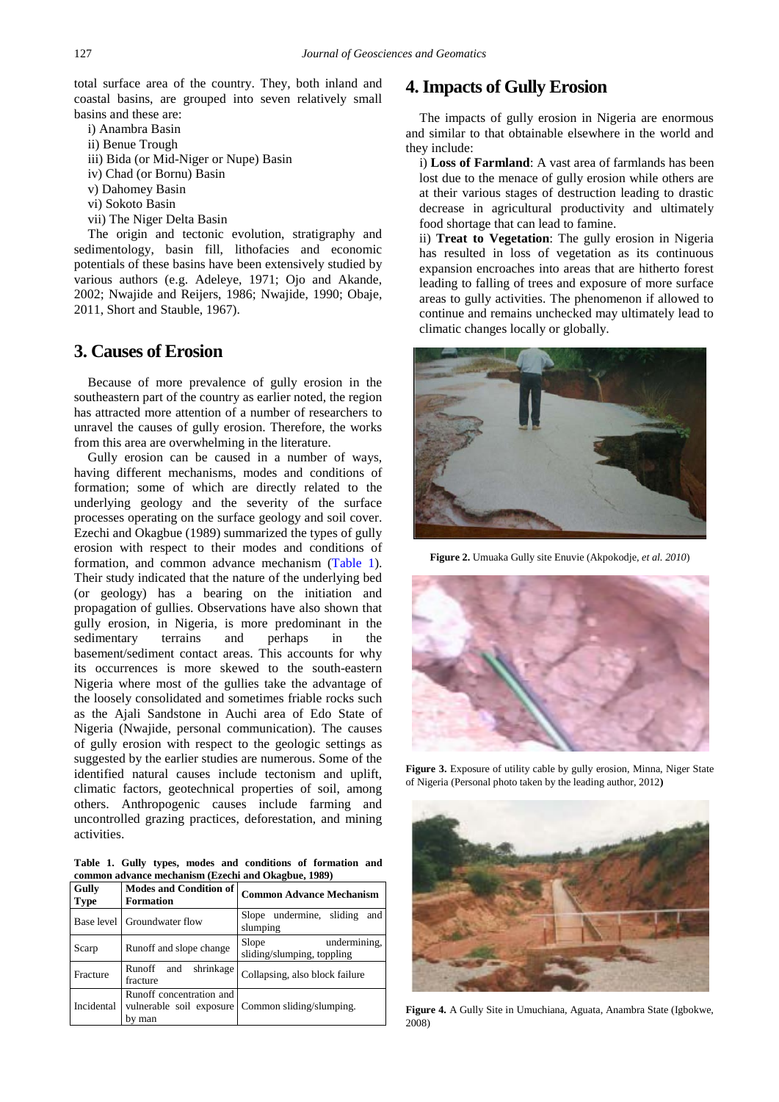total surface area of the country. They, both inland and coastal basins, are grouped into seven relatively small basins and these are:

- i) Anambra Basin
- ii) Benue Trough
- iii) Bida (or Mid-Niger or Nupe) Basin
- iv) Chad (or Bornu) Basin
- v) Dahomey Basin
- vi) Sokoto Basin
- vii) The Niger Delta Basin

The origin and tectonic evolution, stratigraphy and sedimentology, basin fill, lithofacies and economic potentials of these basins have been extensively studied by various authors (e.g. Adeleye, 1971; Ojo and Akande, 2002; Nwajide and Reijers, 1986; Nwajide, 1990; Obaje, 2011, Short and Stauble, 1967).

## **3. Causes of Erosion**

Because of more prevalence of gully erosion in the southeastern part of the country as earlier noted, the region has attracted more attention of a number of researchers to unravel the causes of gully erosion. Therefore, the works from this area are overwhelming in the literature.

Gully erosion can be caused in a number of ways, having different mechanisms, modes and conditions of formation; some of which are directly related to the underlying geology and the severity of the surface processes operating on the surface geology and soil cover. Ezechi and Okagbue (1989) summarized the types of gully erosion with respect to their modes and conditions of formation, and common advance mechanism [\(Table 1\)](#page-2-0). Their study indicated that the nature of the underlying bed (or geology) has a bearing on the initiation and propagation of gullies. Observations have also shown that gully erosion, in Nigeria, is more predominant in the sedimentary terrains and perhaps in the basement/sediment contact areas. This accounts for why its occurrences is more skewed to the south-eastern Nigeria where most of the gullies take the advantage of the loosely consolidated and sometimes friable rocks such as the Ajali Sandstone in Auchi area of Edo State of Nigeria (Nwajide, personal communication). The causes of gully erosion with respect to the geologic settings as suggested by the earlier studies are numerous. Some of the identified natural causes include tectonism and uplift, climatic factors, geotechnical properties of soil, among others. Anthropogenic causes include farming and uncontrolled grazing practices, deforestation, and mining activities.

**Table 1. Gully types, modes and conditions of formation and common advance mechanism (Ezechi and Okagbue, 1989)**

<span id="page-2-0"></span>

| Gully<br><b>Type</b> | <b>Modes and Condition of</b><br><b>Formation</b> | <b>Common Advance Mechanism</b>                     |
|----------------------|---------------------------------------------------|-----------------------------------------------------|
|                      | Base level Groundwater flow                       | Slope undermine, sliding<br>and<br>slumping         |
| Scarp                | Runoff and slope change                           | undermining,<br>Slope<br>sliding/slumping, toppling |
| Fracture             | Runoff<br>shrinkage<br>and<br>fracture            | Collapsing, also block failure                      |
| Incidental           | Runoff concentration and<br>by man                | vulnerable soil exposure Common sliding/slumping.   |

## **4. Impacts of Gully Erosion**

The impacts of gully erosion in Nigeria are enormous and similar to that obtainable elsewhere in the world and they include:

i) **Loss of Farmland**: A vast area of farmlands has been lost due to the menace of gully erosion while others are at their various stages of destruction leading to drastic decrease in agricultural productivity and ultimately food shortage that can lead to famine.

ii) **Treat to Vegetation**: The gully erosion in Nigeria has resulted in loss of vegetation as its continuous expansion encroaches into areas that are hitherto forest leading to falling of trees and exposure of more surface areas to gully activities. The phenomenon if allowed to continue and remains unchecked may ultimately lead to climatic changes locally or globally.

<span id="page-2-1"></span>

**Figure 2.** Umuaka Gully site Enuvie (Akpokodje, *et al. 2010*)



**Figure 3.** Exposure of utility cable by gully erosion, Minna, Niger State of Nigeria (Personal photo taken by the leading author, 2012**)**



**Figure 4.** A Gully Site in Umuchiana, Aguata, Anambra State (Igbokwe, 2008)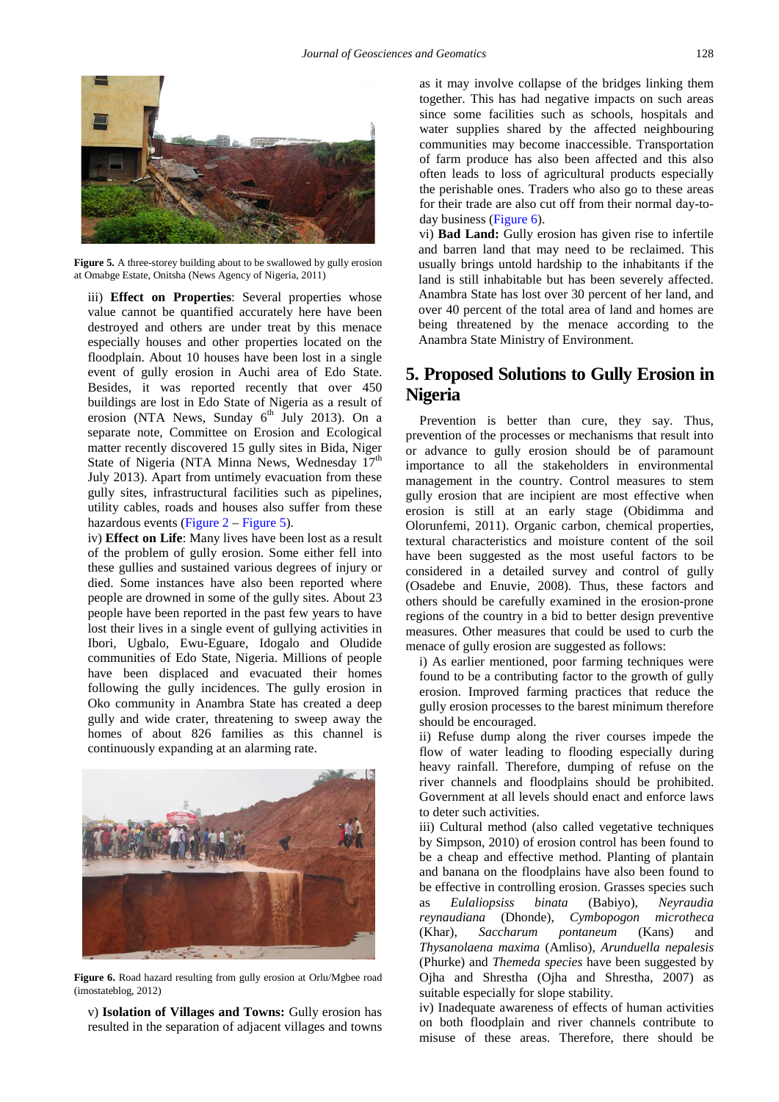<span id="page-3-0"></span>

Figure 5. A three-storey building about to be swallowed by gully erosion at Omabge Estate, Onitsha (News Agency of Nigeria, 2011)

iii) **Effect on Properties**: Several properties whose value cannot be quantified accurately here have been destroyed and others are under treat by this menace especially houses and other properties located on the floodplain. About 10 houses have been lost in a single event of gully erosion in Auchi area of Edo State. Besides, it was reported recently that over 450 buildings are lost in Edo State of Nigeria as a result of erosion (NTA News, Sunday  $6<sup>th</sup>$  July 2013). On a separate note, Committee on Erosion and Ecological matter recently discovered 15 gully sites in Bida, Niger State of Nigeria (NTA Minna News, Wednesday  $17<sup>th</sup>$ July 2013). Apart from untimely evacuation from these gully sites, infrastructural facilities such as pipelines, utility cables, roads and houses also suffer from these hazardous events (Figure  $2 -$  [Figure 5\)](#page-3-0).

iv) **Effect on Life**: Many lives have been lost as a result of the problem of gully erosion. Some either fell into these gullies and sustained various degrees of injury or died. Some instances have also been reported where people are drowned in some of the gully sites. About 23 people have been reported in the past few years to have lost their lives in a single event of gullying activities in Ibori, Ugbalo, Ewu-Eguare, Idogalo and Oludide communities of Edo State, Nigeria. Millions of people have been displaced and evacuated their homes following the gully incidences. The gully erosion in Oko community in Anambra State has created a deep gully and wide crater, threatening to sweep away the homes of about 826 families as this channel is continuously expanding at an alarming rate.

<span id="page-3-1"></span>

**Figure 6.** Road hazard resulting from gully erosion at Orlu/Mgbee road (imostateblog, 2012)

v) **Isolation of Villages and Towns:** Gully erosion has resulted in the separation of adjacent villages and towns as it may involve collapse of the bridges linking them together. This has had negative impacts on such areas since some facilities such as schools, hospitals and water supplies shared by the affected neighbouring communities may become inaccessible. Transportation of farm produce has also been affected and this also often leads to loss of agricultural products especially the perishable ones. Traders who also go to these areas for their trade are also cut off from their normal day-today business [\(Figure 6\)](#page-3-1).

vi) **Bad Land:** Gully erosion has given rise to infertile and barren land that may need to be reclaimed. This usually brings untold hardship to the inhabitants if the land is still inhabitable but has been severely affected. Anambra State has lost over 30 percent of her land, and over 40 percent of the total area of land and homes are being threatened by the menace according to the Anambra State Ministry of Environment.

# **5. Proposed Solutions to Gully Erosion in Nigeria**

Prevention is better than cure, they say. Thus, prevention of the processes or mechanisms that result into or advance to gully erosion should be of paramount importance to all the stakeholders in environmental management in the country. Control measures to stem gully erosion that are incipient are most effective when erosion is still at an early stage (Obidimma and Olorunfemi, 2011). Organic carbon, chemical properties, textural characteristics and moisture content of the soil have been suggested as the most useful factors to be considered in a detailed survey and control of gully (Osadebe and Enuvie, 2008)*.* Thus, these factors and others should be carefully examined in the erosion-prone regions of the country in a bid to better design preventive measures. Other measures that could be used to curb the menace of gully erosion are suggested as follows:

i) As earlier mentioned, poor farming techniques were found to be a contributing factor to the growth of gully erosion. Improved farming practices that reduce the gully erosion processes to the barest minimum therefore should be encouraged.

ii) Refuse dump along the river courses impede the flow of water leading to flooding especially during heavy rainfall. Therefore, dumping of refuse on the river channels and floodplains should be prohibited. Government at all levels should enact and enforce laws to deter such activities.

iii) Cultural method (also called vegetative techniques by Simpson, 2010) of erosion control has been found to be a cheap and effective method. Planting of plantain and banana on the floodplains have also been found to be effective in controlling erosion. Grasses species such as *Eulaliopsiss binata* (Babiyo), *Neyraudia reynaudiana* (Dhonde), *Cymbopogon microtheca* (Khar), *Saccharum pontaneum* (Kans) and *Thysanolaena maxima* (Amliso), *Arunduella nepalesis*  (Phurke) and *Themeda species* have been suggested by Ojha and Shrestha (Ojha and Shrestha, 2007) as suitable especially for slope stability.

iv) Inadequate awareness of effects of human activities on both floodplain and river channels contribute to misuse of these areas. Therefore, there should be